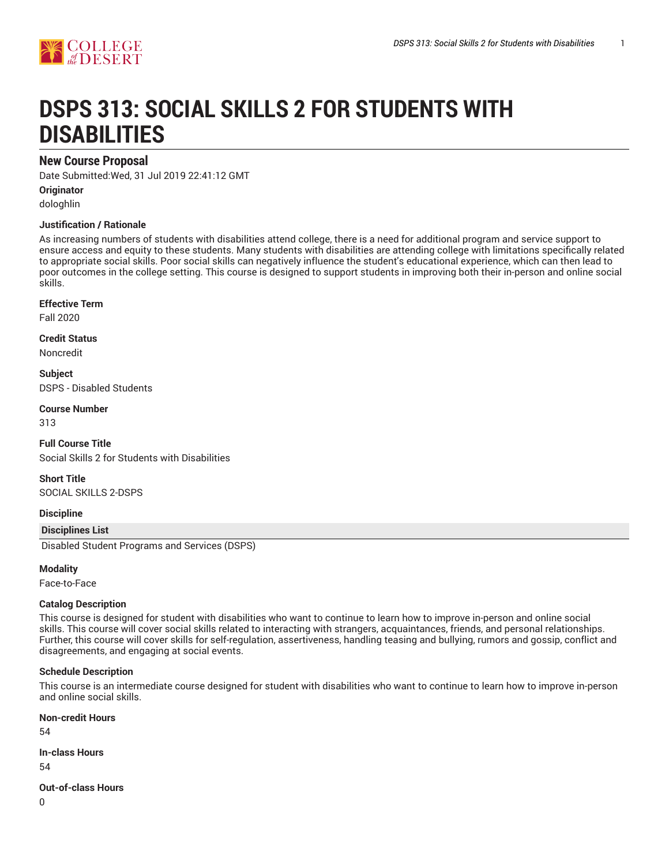

# **DSPS 313: SOCIAL SKILLS 2 FOR STUDENTS WITH DISABILITIES**

# **New Course Proposal**

Date Submitted:Wed, 31 Jul 2019 22:41:12 GMT

**Originator**

dologhlin

#### **Justification / Rationale**

As increasing numbers of students with disabilities attend college, there is a need for additional program and service support to ensure access and equity to these students. Many students with disabilities are attending college with limitations specifically related to appropriate social skills. Poor social skills can negatively influence the student's educational experience, which can then lead to poor outcomes in the college setting. This course is designed to support students in improving both their in-person and online social skills.

#### **Effective Term**

Fall 2020

**Credit Status**

Noncredit

**Subject** DSPS - Disabled Students

**Course Number**

313

**Full Course Title** Social Skills 2 for Students with Disabilities

**Short Title** SOCIAL SKILLS 2-DSPS

#### **Discipline**

**Disciplines List**

Disabled Student Programs and Services (DSPS)

#### **Modality**

Face-to-Face

#### **Catalog Description**

This course is designed for student with disabilities who want to continue to learn how to improve in-person and online social skills. This course will cover social skills related to interacting with strangers, acquaintances, friends, and personal relationships. Further, this course will cover skills for self-regulation, assertiveness, handling teasing and bullying, rumors and gossip, conflict and disagreements, and engaging at social events.

#### **Schedule Description**

This course is an intermediate course designed for student with disabilities who want to continue to learn how to improve in-person and online social skills.

**Non-credit Hours**

54

#### **In-class Hours**

54

#### **Out-of-class Hours**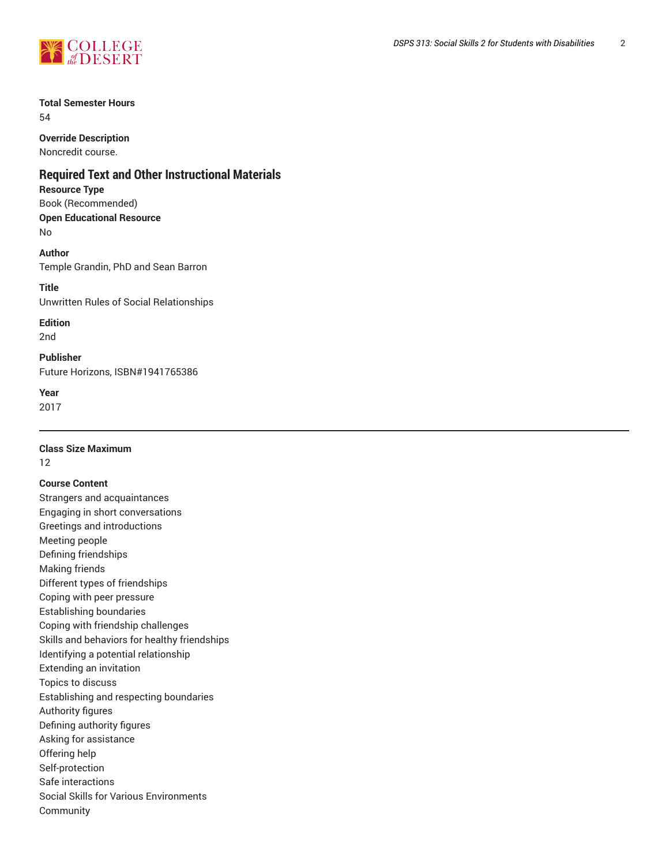

# **Total Semester Hours**

54

# **Override Description**

Noncredit course.

# **Required Text and Other Instructional Materials**

**Resource Type**

Book (Recommended) **Open Educational Resource** No

**Author** Temple Grandin, PhD and Sean Barron

**Title** Unwritten Rules of Social Relationships

**Edition** 2nd

**Publisher** Future Horizons, ISBN#1941765386

**Year**

2017

# **Class Size Maximum**

12

#### **Course Content**

Strangers and acquaintances Engaging in short conversations Greetings and introductions Meeting people Defining friendships Making friends Different types of friendships Coping with peer pressure Establishing boundaries Coping with friendship challenges Skills and behaviors for healthy friendships Identifying a potential relationship Extending an invitation Topics to discuss Establishing and respecting boundaries Authority figures Defining authority figures Asking for assistance Offering help Self-protection Safe interactions Social Skills for Various Environments Community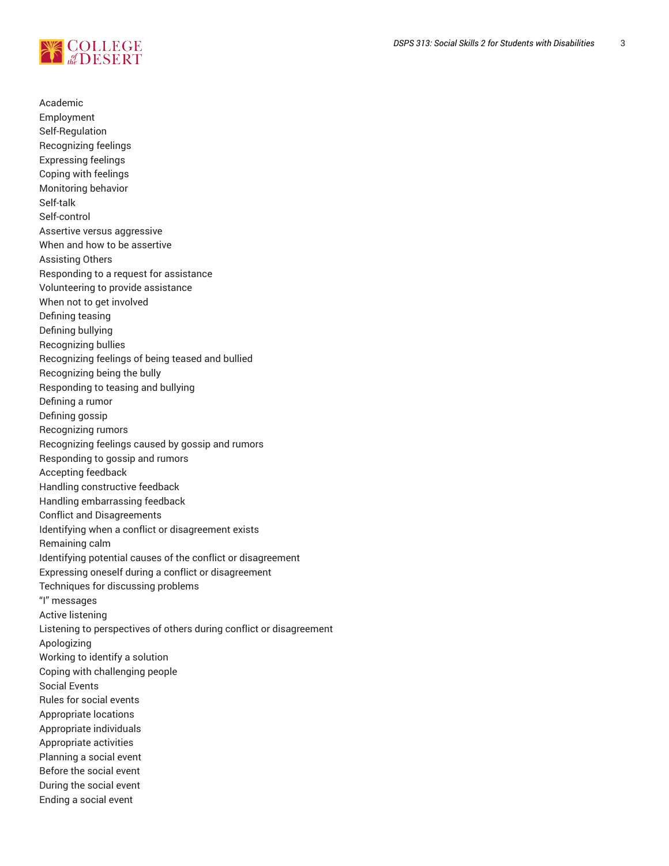

Academic Employment Self-Regulation Recognizing feelings Expressing feelings Coping with feelings Monitoring behavior Self-talk Self-control Assertive versus aggressive When and how to be assertive Assisting Others Responding to a request for assistance Volunteering to provide assistance When not to get involved Defining teasing Defining bullying Recognizing bullies Recognizing feelings of being teased and bullied Recognizing being the bully Responding to teasing and bullying Defining a rumor Defining gossip Recognizing rumors Recognizing feelings caused by gossip and rumors Responding to gossip and rumors Accepting feedback Handling constructive feedback Handling embarrassing feedback Conflict and Disagreements Identifying when a conflict or disagreement exists Remaining calm Identifying potential causes of the conflict or disagreement Expressing oneself during a conflict or disagreement Techniques for discussing problems "I" messages Active listening Listening to perspectives of others during conflict or disagreement Apologizing Working to identify a solution Coping with challenging people Social Events Rules for social events Appropriate locations Appropriate individuals Appropriate activities Planning a social event Before the social event During the social event Ending a social event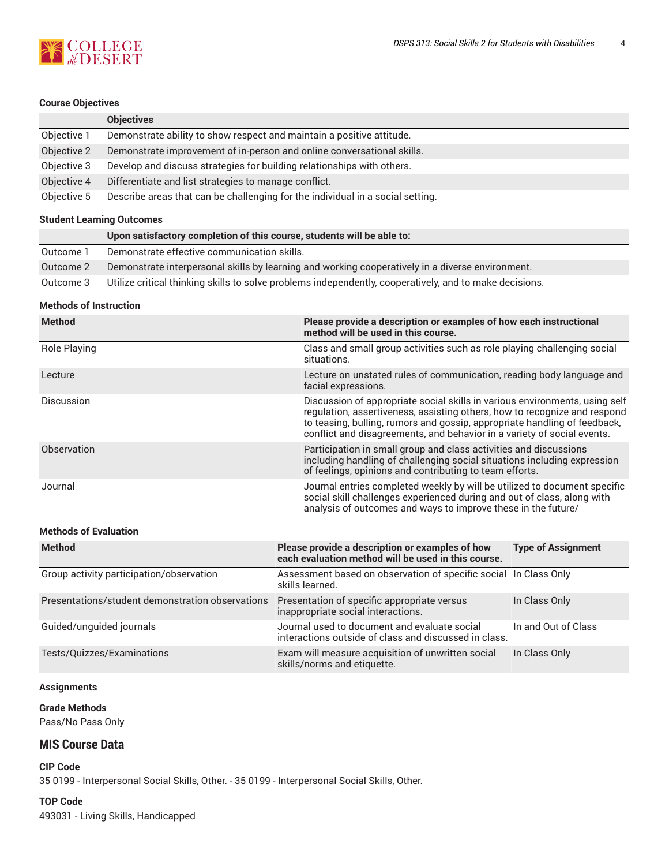

#### **Course Objectives**

|             | <b>Objectives</b>                                                              |
|-------------|--------------------------------------------------------------------------------|
| Objective 1 | Demonstrate ability to show respect and maintain a positive attitude.          |
| Objective 2 | Demonstrate improvement of in-person and online conversational skills.         |
| Objective 3 | Develop and discuss strategies for building relationships with others.         |
| Objective 4 | Differentiate and list strategies to manage conflict.                          |
| Objective 5 | Describe areas that can be challenging for the individual in a social setting. |

#### **Student Learning Outcomes**

|           | Upon satisfactory completion of this course, students will be able to:                                  |
|-----------|---------------------------------------------------------------------------------------------------------|
| Outcome 1 | Demonstrate effective communication skills.                                                             |
| Outcome 2 | Demonstrate interpersonal skills by learning and working cooperatively in a diverse environment.        |
| Outcome 3 | Utilize critical thinking skills to solve problems independently, cooperatively, and to make decisions. |

#### **Methods of Instruction**

| <b>Method</b>     | Please provide a description or examples of how each instructional<br>method will be used in this course.                                                                                                                                                                                                        |
|-------------------|------------------------------------------------------------------------------------------------------------------------------------------------------------------------------------------------------------------------------------------------------------------------------------------------------------------|
| Role Playing      | Class and small group activities such as role playing challenging social<br>situations.                                                                                                                                                                                                                          |
| Lecture           | Lecture on unstated rules of communication, reading body language and<br>facial expressions.                                                                                                                                                                                                                     |
| <b>Discussion</b> | Discussion of appropriate social skills in various environments, using self<br>regulation, assertiveness, assisting others, how to recognize and respond<br>to teasing, bulling, rumors and gossip, appropriate handling of feedback,<br>conflict and disagreements, and behavior in a variety of social events. |
| Observation       | Participation in small group and class activities and discussions<br>including handling of challenging social situations including expression<br>of feelings, opinions and contributing to team efforts.                                                                                                         |
| Journal           | Journal entries completed weekly by will be utilized to document specific<br>social skill challenges experienced during and out of class, along with<br>analysis of outcomes and ways to improve these in the future/                                                                                            |

#### **Methods of Evaluation**

| <b>Method</b>                                    | Please provide a description or examples of how<br>each evaluation method will be used in this course. | <b>Type of Assignment</b> |
|--------------------------------------------------|--------------------------------------------------------------------------------------------------------|---------------------------|
| Group activity participation/observation         | Assessment based on observation of specific social In Class Only<br>skills learned.                    |                           |
| Presentations/student demonstration observations | Presentation of specific appropriate versus<br>inappropriate social interactions.                      | In Class Only             |
| Guided/unguided journals                         | Journal used to document and evaluate social<br>interactions outside of class and discussed in class.  | In and Out of Class       |
| Tests/Quizzes/Examinations                       | Exam will measure acquisition of unwritten social<br>skills/norms and etiquette.                       | In Class Only             |

#### **Assignments**

#### **Grade Methods** Pass/No Pass Only

### **MIS Course Data**

**CIP Code** 35 0199 - Interpersonal Social Skills, Other. - 35 0199 - Interpersonal Social Skills, Other.

#### **TOP Code**

493031 - Living Skills, Handicapped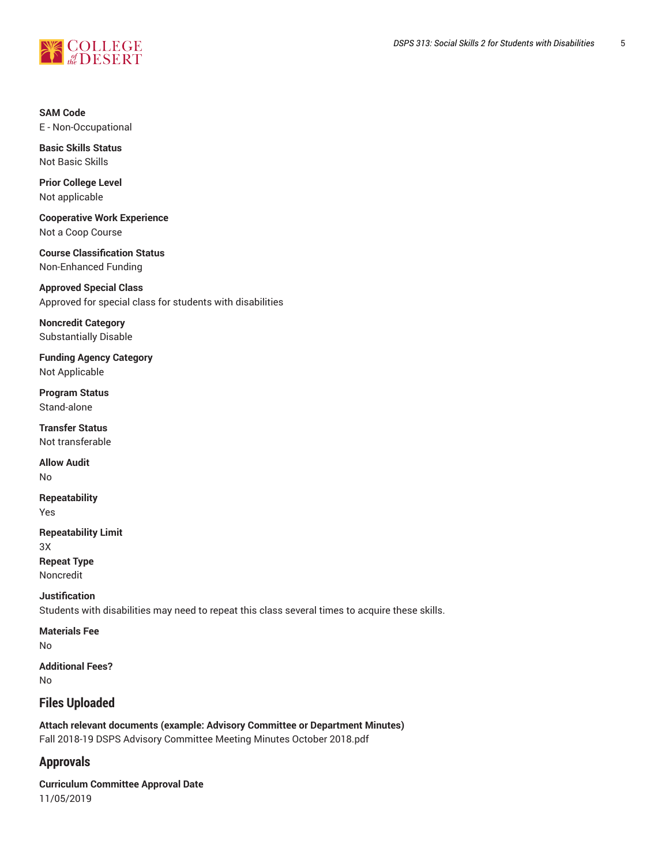

#### **SAM Code** E - Non-Occupational

**Basic Skills Status** Not Basic Skills

**Prior College Level** Not applicable

**Cooperative Work Experience** Not a Coop Course

**Course Classification Status** Non-Enhanced Funding

**Approved Special Class** Approved for special class for students with disabilities

**Noncredit Category** Substantially Disable

**Funding Agency Category** Not Applicable

**Program Status** Stand-alone

**Transfer Status** Not transferable

**Allow Audit** No

**Repeatability** Yes

**Repeatability Limit** 3X

**Repeat Type** Noncredit

**Justification**

Students with disabilities may need to repeat this class several times to acquire these skills.

**Materials Fee** No

**Additional Fees?** No

# **Files Uploaded**

**Attach relevant documents (example: Advisory Committee or Department Minutes)** Fall 2018-19 DSPS Advisory Committee Meeting Minutes October 2018.pdf

# **Approvals**

**Curriculum Committee Approval Date** 11/05/2019